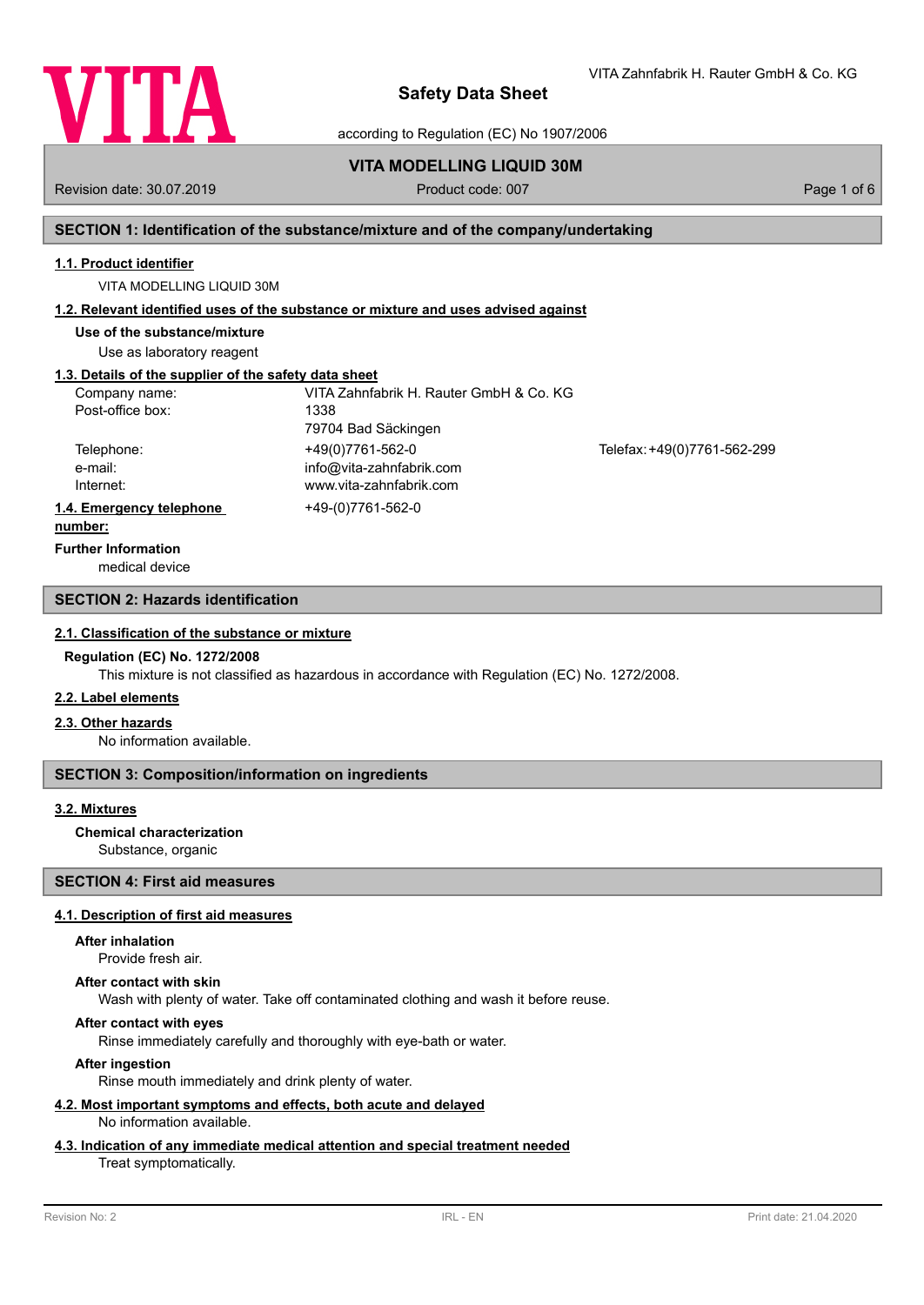

VITA Zahnfabrik H. Rauter GmbH & Co. KG

according to Regulation (EC) No 1907/2006

# **VITA MODELLING LIQUID 30M**

Revision date: 30.07.2019 **Product code: 007** Product code: 007 **Page 1 of 6** Page 1 of 6

# **SECTION 1: Identification of the substance/mixture and of the company/undertaking**

### **1.1. Product identifier**

VITA MODELLING LIQUID 30M

## **1.2. Relevant identified uses of the substance or mixture and uses advised against**

**Use of the substance/mixture**

Use as laboratory reagent

## **1.3. Details of the supplier of the safety data sheet**

| Company name:            | VITA Zahnfabrik H. Rauter GmbH & Co. KG |                             |
|--------------------------|-----------------------------------------|-----------------------------|
| Post-office box:         | 1338                                    |                             |
|                          | 79704 Bad Säckingen                     |                             |
| Telephone:               | +49(0)7761-562-0                        | Telefax: +49(0)7761-562-299 |
| e-mail:                  | info@vita-zahnfabrik.com                |                             |
| Internet:                | www.vita-zahnfabrik.com                 |                             |
| 1.4. Emergency telephone | +49-(0)7761-562-0                       |                             |
| .                        |                                         |                             |

#### **number:**

**Further Information**

medical device

### **SECTION 2: Hazards identification**

#### **2.1. Classification of the substance or mixture**

#### **Regulation (EC) No. 1272/2008**

This mixture is not classified as hazardous in accordance with Regulation (EC) No. 1272/2008.

### **2.2. Label elements**

### **2.3. Other hazards**

No information available.

# **SECTION 3: Composition/information on ingredients**

# **3.2. Mixtures**

# **Chemical characterization**

Substance, organic

# **SECTION 4: First aid measures**

## **4.1. Description of first aid measures**

### **After inhalation**

Provide fresh air.

#### **After contact with skin**

Wash with plenty of water. Take off contaminated clothing and wash it before reuse.

# **After contact with eyes**

Rinse immediately carefully and thoroughly with eye-bath or water.

## **After ingestion**

Rinse mouth immediately and drink plenty of water.

#### **4.2. Most important symptoms and effects, both acute and delayed** No information available.

# **4.3. Indication of any immediate medical attention and special treatment needed**

### Treat symptomatically.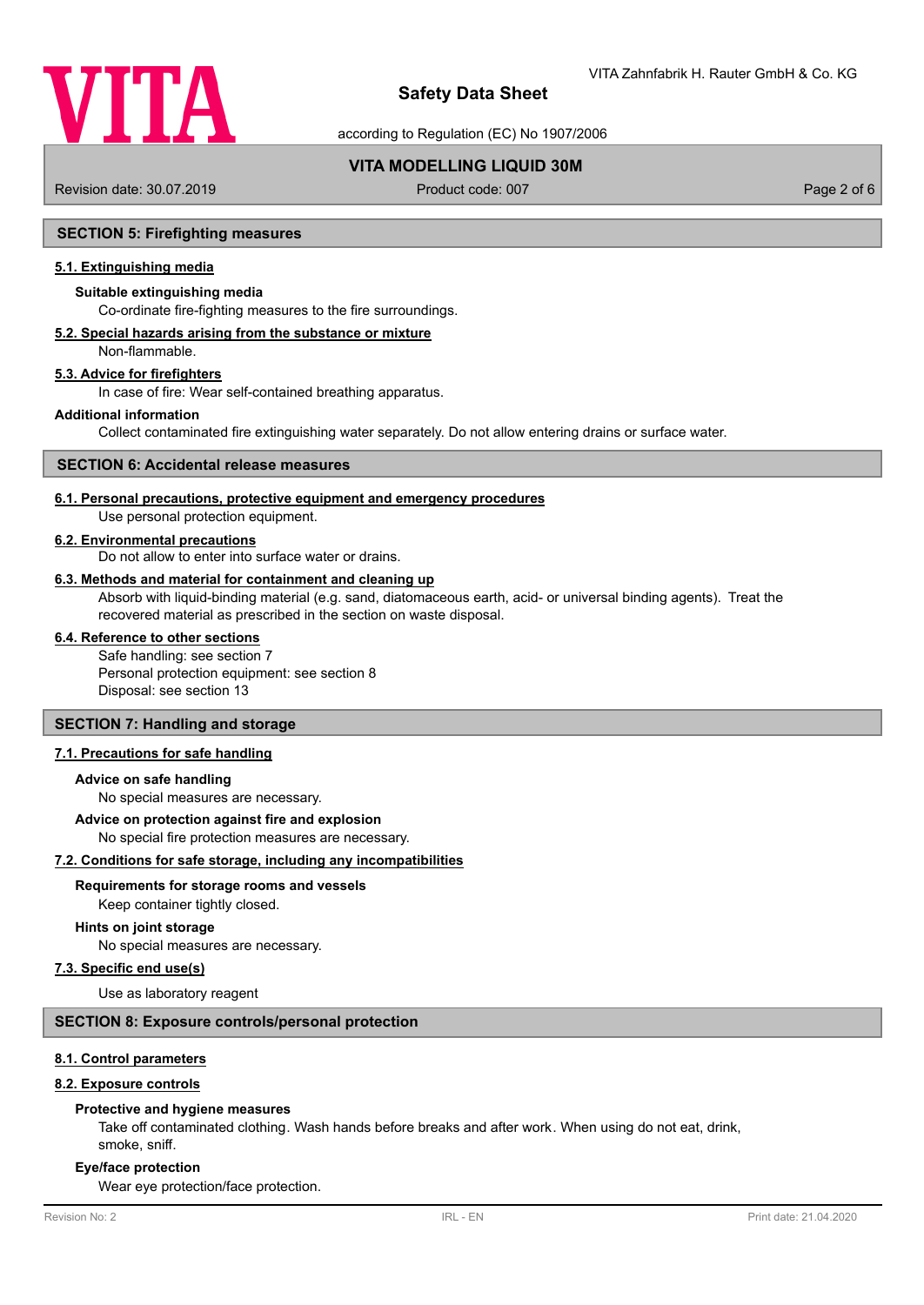

according to Regulation (EC) No 1907/2006

# **VITA MODELLING LIQUID 30M**

Revision date: 30.07.2019 **Product code: 007** Product code: 007 **Page 2 of 6** Page 2 of 6

## **SECTION 5: Firefighting measures**

## **5.1. Extinguishing media**

## **Suitable extinguishing media**

Co-ordinate fire-fighting measures to the fire surroundings.

# **5.2. Special hazards arising from the substance or mixture**

Non-flammable.

# **5.3. Advice for firefighters**

In case of fire: Wear self-contained breathing apparatus.

#### **Additional information**

Collect contaminated fire extinguishing water separately. Do not allow entering drains or surface water.

### **SECTION 6: Accidental release measures**

#### **6.1. Personal precautions, protective equipment and emergency procedures**

Use personal protection equipment.

#### **6.2. Environmental precautions**

Do not allow to enter into surface water or drains.

#### **6.3. Methods and material for containment and cleaning up**

Absorb with liquid-binding material (e.g. sand, diatomaceous earth, acid- or universal binding agents). Treat the recovered material as prescribed in the section on waste disposal.

#### **6.4. Reference to other sections**

Safe handling: see section 7 Personal protection equipment: see section 8 Disposal: see section 13

# **SECTION 7: Handling and storage**

## **7.1. Precautions for safe handling**

#### **Advice on safe handling**

No special measures are necessary.

#### **Advice on protection against fire and explosion**

No special fire protection measures are necessary.

## **7.2. Conditions for safe storage, including any incompatibilities**

#### **Requirements for storage rooms and vessels**

Keep container tightly closed.

# **Hints on joint storage**

No special measures are necessary.

### **7.3. Specific end use(s)**

Use as laboratory reagent

#### **SECTION 8: Exposure controls/personal protection**

#### **8.1. Control parameters**

#### **8.2. Exposure controls**

#### **Protective and hygiene measures**

Take off contaminated clothing. Wash hands before breaks and after work. When using do not eat, drink, smoke, sniff.

#### **Eye/face protection**

Wear eye protection/face protection.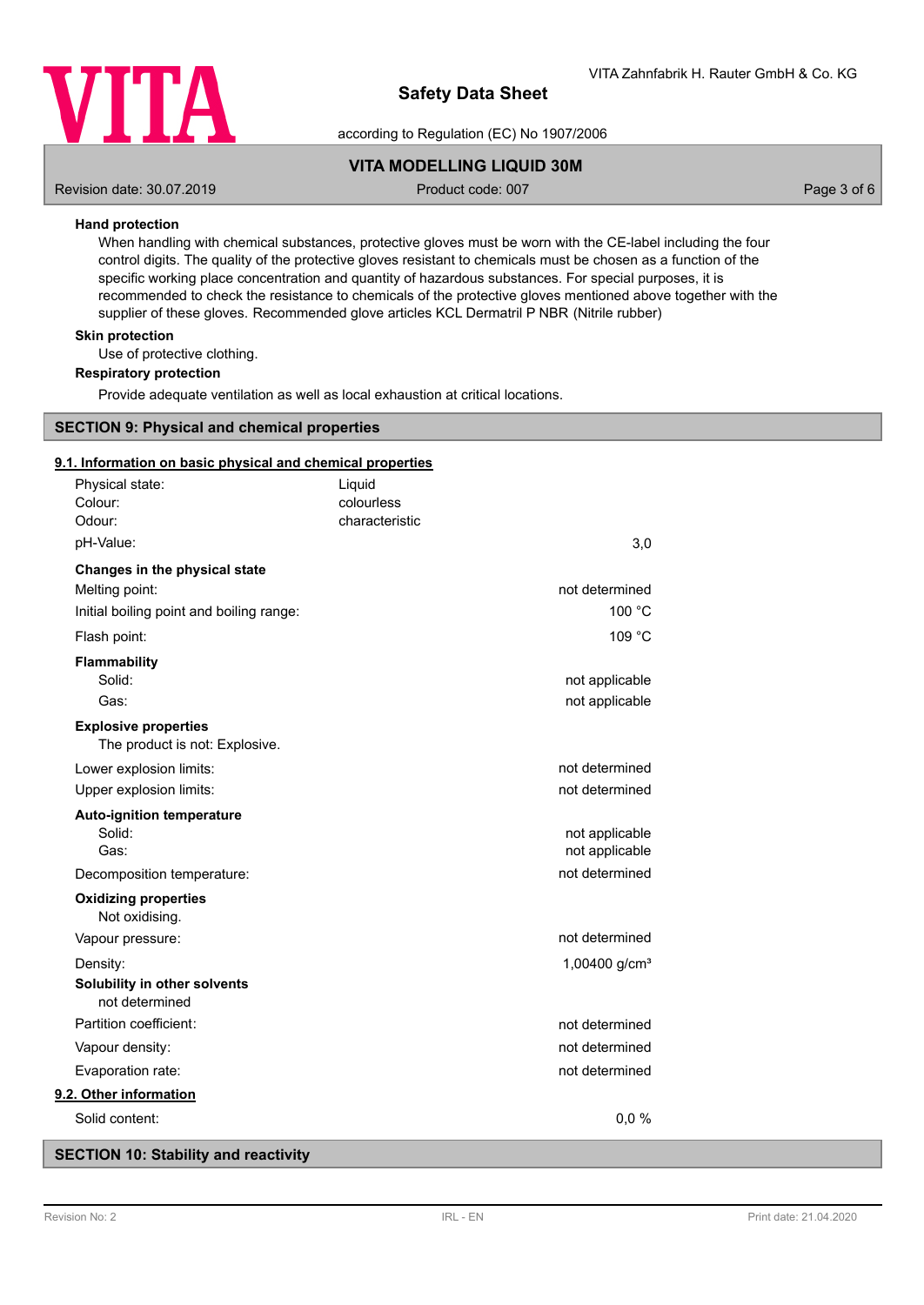

according to Regulation (EC) No 1907/2006

# **VITA MODELLING LIQUID 30M**

Revision date: 30.07.2019 **Product code: 007** Product code: 007 **Page 3 of 6** Page 3 of 6

## **Hand protection**

When handling with chemical substances, protective gloves must be worn with the CE-label including the four control digits. The quality of the protective gloves resistant to chemicals must be chosen as a function of the specific working place concentration and quantity of hazardous substances. For special purposes, it is recommended to check the resistance to chemicals of the protective gloves mentioned above together with the supplier of these gloves. Recommended glove articles KCL Dermatril P NBR (Nitrile rubber)

## **Skin protection**

Use of protective clothing.

### **Respiratory protection**

Provide adequate ventilation as well as local exhaustion at critical locations.

## **SECTION 9: Physical and chemical properties**

### **9.1. Information on basic physical and chemical properties**

| Physical state:                                |                                          | Liquid                       |                 |  |
|------------------------------------------------|------------------------------------------|------------------------------|-----------------|--|
| Colour:<br>Odour:                              |                                          | colourless<br>characteristic |                 |  |
| pH-Value:                                      |                                          |                              | 3,0             |  |
| Changes in the physical state                  |                                          |                              |                 |  |
| Melting point:                                 |                                          |                              | not determined  |  |
|                                                | Initial boiling point and boiling range: |                              | 100 °C          |  |
| Flash point:                                   |                                          |                              | 109 °C          |  |
| <b>Flammability</b>                            |                                          |                              |                 |  |
| Solid:                                         |                                          |                              | not applicable  |  |
| Gas:                                           |                                          |                              | not applicable  |  |
| <b>Explosive properties</b>                    | The product is not: Explosive.           |                              |                 |  |
| Lower explosion limits:                        |                                          |                              | not determined  |  |
| Upper explosion limits:                        |                                          |                              | not determined  |  |
| <b>Auto-ignition temperature</b>               |                                          |                              |                 |  |
| Solid:                                         |                                          |                              | not applicable  |  |
| Gas:                                           |                                          |                              | not applicable  |  |
| Decomposition temperature:                     |                                          |                              | not determined  |  |
| <b>Oxidizing properties</b><br>Not oxidising.  |                                          |                              |                 |  |
| Vapour pressure:                               |                                          |                              | not determined  |  |
| Density:                                       |                                          |                              | 1,00400 $g/cm3$ |  |
| Solubility in other solvents<br>not determined |                                          |                              |                 |  |
| Partition coefficient:                         |                                          |                              | not determined  |  |
| Vapour density:                                |                                          |                              | not determined  |  |
| Evaporation rate:                              |                                          |                              | not determined  |  |
| 9.2. Other information                         |                                          |                              |                 |  |
| Solid content:                                 |                                          |                              | 0,0%            |  |
|                                                |                                          |                              |                 |  |

## **SECTION 10: Stability and reactivity**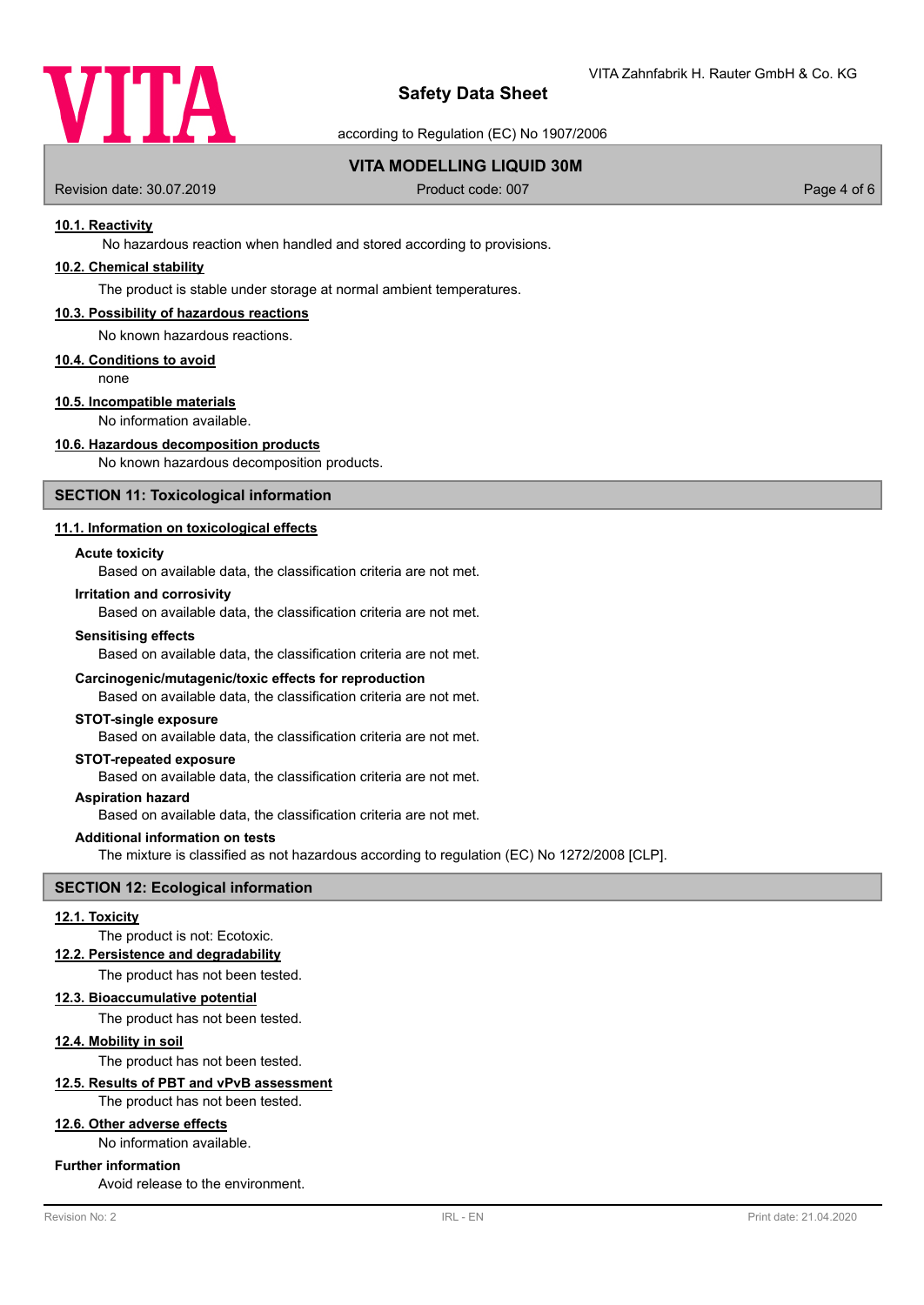

according to Regulation (EC) No 1907/2006

# **VITA MODELLING LIQUID 30M**

Revision date: 30.07.2019 **Product code: 007** Product code: 007 **Page 4 of 6** Page 4 of 6

## **10.1. Reactivity**

No hazardous reaction when handled and stored according to provisions.

# **10.2. Chemical stability**

The product is stable under storage at normal ambient temperatures.

#### **10.3. Possibility of hazardous reactions**

No known hazardous reactions.

### **10.4. Conditions to avoid**

none

# **10.5. Incompatible materials**

No information available.

# **10.6. Hazardous decomposition products**

No known hazardous decomposition products.

#### **SECTION 11: Toxicological information**

## **11.1. Information on toxicological effects**

#### **Acute toxicity**

Based on available data, the classification criteria are not met.

### **Irritation and corrosivity**

Based on available data, the classification criteria are not met.

#### **Sensitising effects**

Based on available data, the classification criteria are not met.

#### **Carcinogenic/mutagenic/toxic effects for reproduction**

Based on available data, the classification criteria are not met.

#### **STOT-single exposure**

Based on available data, the classification criteria are not met.

## **STOT-repeated exposure**

Based on available data, the classification criteria are not met.

#### **Aspiration hazard**

Based on available data, the classification criteria are not met.

#### **Additional information on tests**

The mixture is classified as not hazardous according to regulation (EC) No 1272/2008 [CLP].

# **SECTION 12: Ecological information**

#### **12.1. Toxicity**

The product is not: Ecotoxic.

#### **12.2. Persistence and degradability**

The product has not been tested.

### **12.3. Bioaccumulative potential**

The product has not been tested.

## **12.4. Mobility in soil**

The product has not been tested.

# **12.5. Results of PBT and vPvB assessment**

The product has not been tested.

# **12.6. Other adverse effects**

No information available.

#### **Further information**

Avoid release to the environment.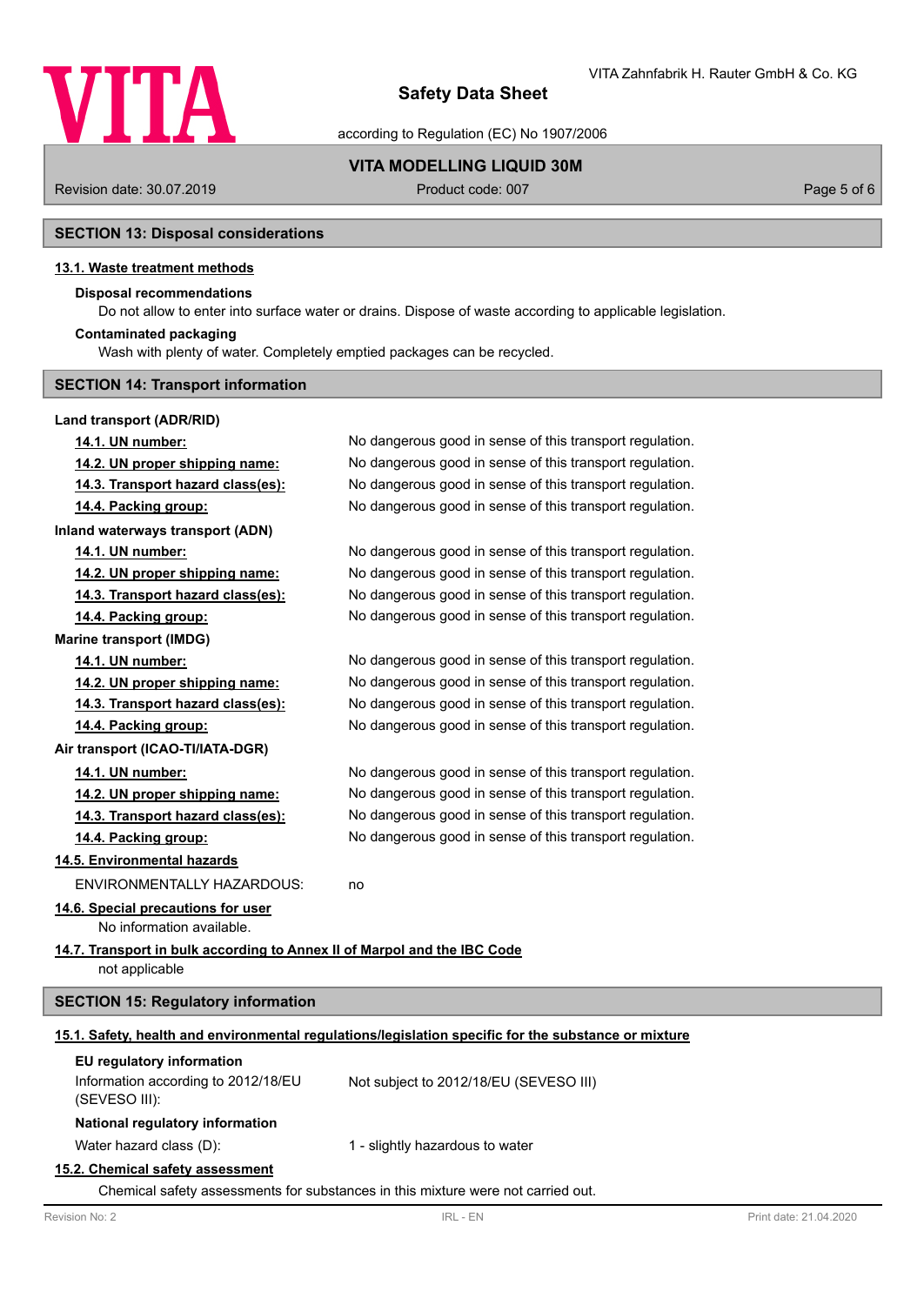

according to Regulation (EC) No 1907/2006

**VITA MODELLING LIQUID 30M**

Revision date: 30.07.2019 **Product code: 007** Product code: 007 **Page 5 of 6** Page 5 of 6

# **SECTION 13: Disposal considerations**

## **13.1. Waste treatment methods**

# **Disposal recommendations**

Do not allow to enter into surface water or drains. Dispose of waste according to applicable legislation.

#### **Contaminated packaging**

Wash with plenty of water. Completely emptied packages can be recycled.

## **SECTION 14: Transport information**

# **Land transport (ADR/RID)**

| 14.1. UN number:                                                         | No dangerous good in sense of this transport regulation.                                             |
|--------------------------------------------------------------------------|------------------------------------------------------------------------------------------------------|
| 14.2. UN proper shipping name:                                           | No dangerous good in sense of this transport regulation.                                             |
| 14.3. Transport hazard class(es):                                        | No dangerous good in sense of this transport regulation.                                             |
| 14.4. Packing group:                                                     | No dangerous good in sense of this transport regulation.                                             |
| <b>Inland waterways transport (ADN)</b>                                  |                                                                                                      |
| 14.1. UN number:                                                         | No dangerous good in sense of this transport regulation.                                             |
| 14.2. UN proper shipping name:                                           | No dangerous good in sense of this transport regulation.                                             |
| 14.3. Transport hazard class(es):                                        | No dangerous good in sense of this transport regulation.                                             |
| 14.4. Packing group:                                                     | No dangerous good in sense of this transport regulation.                                             |
| <b>Marine transport (IMDG)</b>                                           |                                                                                                      |
| 14.1. UN number:                                                         | No dangerous good in sense of this transport regulation.                                             |
| 14.2. UN proper shipping name:                                           | No dangerous good in sense of this transport regulation.                                             |
| 14.3. Transport hazard class(es):                                        | No dangerous good in sense of this transport regulation.                                             |
| 14.4. Packing group:                                                     | No dangerous good in sense of this transport regulation.                                             |
| Air transport (ICAO-TI/IATA-DGR)                                         |                                                                                                      |
| 14.1. UN number:                                                         | No dangerous good in sense of this transport regulation.                                             |
| 14.2. UN proper shipping name:                                           | No dangerous good in sense of this transport regulation.                                             |
| 14.3. Transport hazard class(es):                                        | No dangerous good in sense of this transport regulation.                                             |
| 14.4. Packing group:                                                     | No dangerous good in sense of this transport regulation.                                             |
| 14.5. Environmental hazards                                              |                                                                                                      |
| <b>ENVIRONMENTALLY HAZARDOUS:</b>                                        | no                                                                                                   |
| 14.6. Special precautions for user                                       |                                                                                                      |
| No information available.                                                |                                                                                                      |
| 14.7. Transport in bulk according to Annex II of Marpol and the IBC Code |                                                                                                      |
| not applicable                                                           |                                                                                                      |
| <b>SECTION 15: Regulatory information</b>                                |                                                                                                      |
|                                                                          | 15.1. Safety, health and environmental regulations/legislation specific for the substance or mixture |
| EU regulatory information                                                |                                                                                                      |
| Information according to 2012/18/EU<br>(SEVESO III):                     | Not subject to 2012/18/EU (SEVESO III)                                                               |
| National regulatory information                                          |                                                                                                      |
| Water hazard class (D):                                                  | 1 - slightly hazardous to water                                                                      |
|                                                                          |                                                                                                      |

# **15.2. Chemical safety assessment**

Chemical safety assessments for substances in this mixture were not carried out.